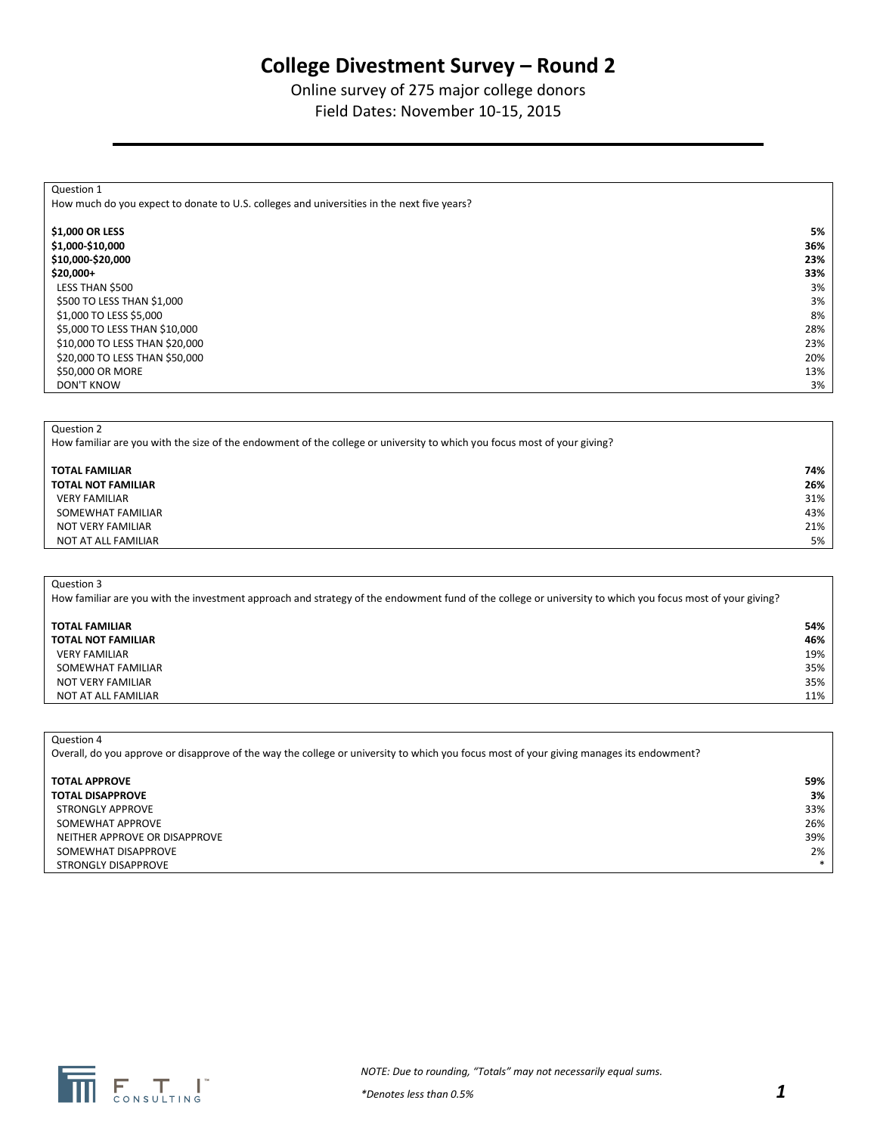# **College Divestment Survey – Round 2**

## Online survey of 275 major college donors Field Dates: November 10-15, 2015

| Question 1                                                                                 |     |
|--------------------------------------------------------------------------------------------|-----|
| How much do you expect to donate to U.S. colleges and universities in the next five years? |     |
|                                                                                            |     |
| \$1,000 OR LESS                                                                            | 5%  |
| \$1,000-\$10,000                                                                           | 36% |
| \$10,000-\$20,000                                                                          | 23% |
| $$20,000+$                                                                                 | 33% |
| LESS THAN \$500                                                                            | 3%  |
| \$500 TO LESS THAN \$1,000                                                                 | 3%  |
| \$1,000 TO LESS \$5,000                                                                    | 8%  |
| \$5,000 TO LESS THAN \$10,000                                                              | 28% |
| \$10,000 TO LESS THAN \$20,000                                                             | 23% |
| \$20,000 TO LESS THAN \$50,000                                                             | 20% |
| \$50,000 OR MORE                                                                           | 13% |
| <b>DON'T KNOW</b>                                                                          | 3%  |
|                                                                                            |     |

Question 2

How familiar are you with the size of the endowment of the college or university to which you focus most of your giving?

## **TOTAL FAMILIAR 74% TOTAL NOT FAMILIAR 26%**

 VERY FAMILIAR 31% SOMEWHAT FAMILIAR 43% NOT VERY FAMILIAR 21% NOT AT ALL FAMILIAR 5%

#### Question 3

How familiar are you with the investment approach and strategy of the endowment fund of the college or university to which you focus most of your giving?

### **TOTAL FAMILIAR 54% TOTAL NOT FAMILIAR 46%** VERY FAMILIAR 19%

 SOMEWHAT FAMILIAR 35% NOT VERY FAMILIAR 35% NOT AT ALL FAMILIAR 11% and the state of the state of the state of the state of the state of the state of the state of the state of the state of the state of the state of the state of the state of the state of the state of

Question 4

Overall, do you approve or disapprove of the way the college or university to which you focus most of your giving manages its endowment?

| <b>TOTAL APPROVE</b>          | 59%    |
|-------------------------------|--------|
| <b>TOTAL DISAPPROVE</b>       | 3%     |
| STRONGLY APPROVE              | 33%    |
| SOMEWHAT APPROVE              | 26%    |
| NEITHER APPROVE OR DISAPPROVE | 39%    |
| SOMEWHAT DISAPPROVE           | 2%     |
| STRONGLY DISAPPROVE           | $\ast$ |

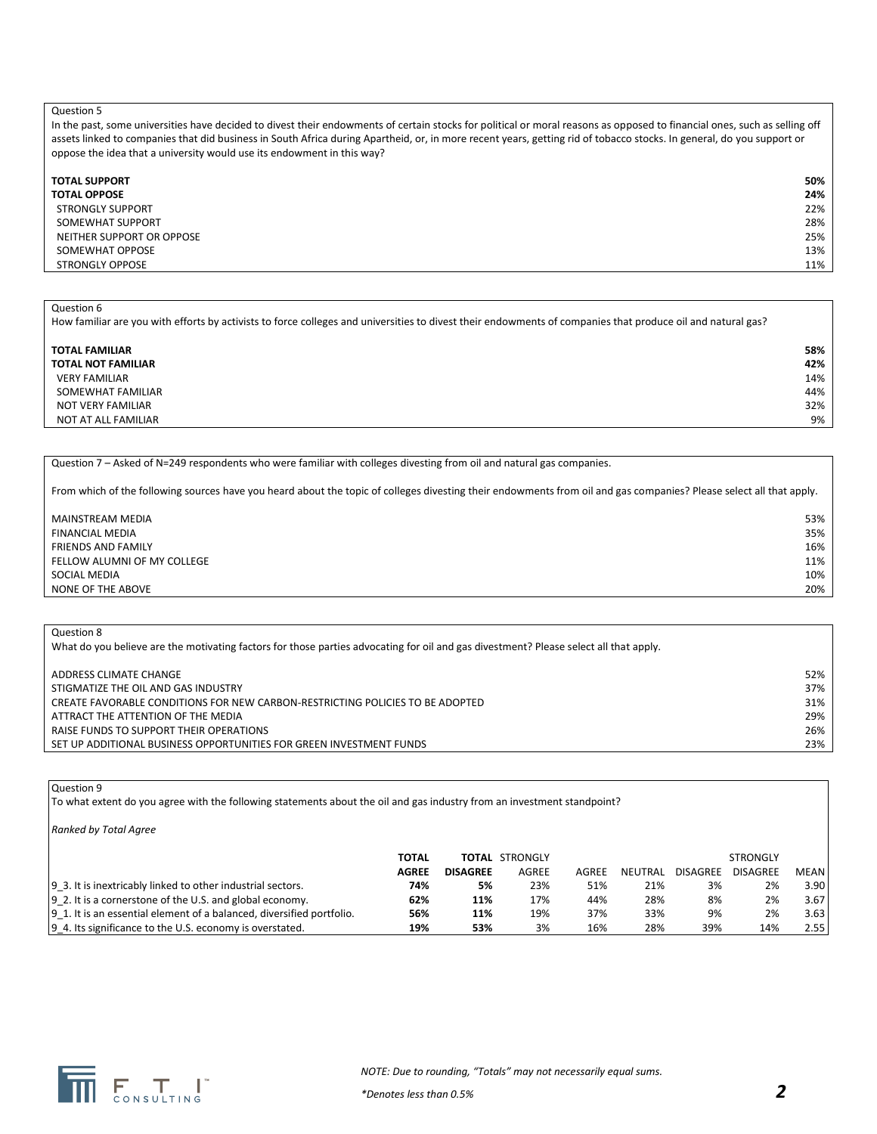In the past, some universities have decided to divest their endowments of certain stocks for political or moral reasons as opposed to financial ones, such as selling off assets linked to companies that did business in South Africa during Apartheid, or, in more recent years, getting rid of tobacco stocks. In general, do you support or oppose the idea that a university would use its endowment in this way?

| <b>TOTAL SUPPORT</b>      | 50% |
|---------------------------|-----|
| <b>TOTAL OPPOSE</b>       | 24% |
| <b>STRONGLY SUPPORT</b>   | 22% |
| SOMEWHAT SUPPORT          | 28% |
| NEITHER SUPPORT OR OPPOSE | 25% |
| SOMEWHAT OPPOSE           | 13% |
| <b>STRONGLY OPPOSE</b>    | 11% |

#### Question 6

How familiar are you with efforts by activists to force colleges and universities to divest their endowments of companies that produce oil and natural gas?

#### **TOTAL FAMILIAR 58% TOTAL NOT FAMILIAR 42%** VERY FAMILIAR 14% SOMEWHAT FAMILIAR 44% NOT VERY FAMILIAR 32% NOT AT ALL FAMILIAR 9%

Question 7 – Asked of N=249 respondents who were familiar with colleges divesting from oil and natural gas companies.

From which of the following sources have you heard about the topic of colleges divesting their endowments from oil and gas companies? Please select all that apply.

| MAINSTREAM MEDIA            | 53% |
|-----------------------------|-----|
| FINANCIAL MEDIA             | 35% |
| <b>FRIENDS AND FAMILY</b>   | 16% |
| FELLOW ALUMNI OF MY COLLEGE | 11% |
| SOCIAL MEDIA                | 10% |
| NONE OF THE ABOVE           | 20% |

#### Question 8

What do you believe are the motivating factors for those parties advocating for oil and gas divestment? Please select all that apply.

| ADDRESS CLIMATE CHANGE                                                        | 52% |
|-------------------------------------------------------------------------------|-----|
| STIGMATIZE THE OIL AND GAS INDUSTRY                                           | 37% |
| CREATE FAVORABLE CONDITIONS FOR NEW CARBON-RESTRICTING POLICIES TO BE ADOPTED | 31% |
| ATTRACT THE ATTENTION OF THE MEDIA                                            | 29% |
| RAISE FUNDS TO SUPPORT THEIR OPERATIONS                                       | 26% |
| SET UP ADDITIONAL BUSINESS OPPORTUNITIES FOR GREEN INVESTMENT FUNDS           | 23% |

#### Question 9

To what extent do you agree with the following statements about the oil and gas industry from an investment standpoint?

*Ranked by Total Agree*

|                                                                        | <b>TOTAL</b> |                 | <b>TOTAL STRONGLY</b> |       |         |          | <b>STRONGLY</b> |      |
|------------------------------------------------------------------------|--------------|-----------------|-----------------------|-------|---------|----------|-----------------|------|
|                                                                        | <b>AGREE</b> | <b>DISAGREE</b> | AGREE                 | AGREE | NEUTRAL | DISAGREE | <b>DISAGREE</b> | MEAN |
| 9 3. It is inextricably linked to other industrial sectors.            | 74%          | 5%              | 23%                   | 51%   | 21%     | 3%       | 2%              | 3.90 |
| 9 2. It is a cornerstone of the U.S. and global economy.               | 62%          | 11%             | 17%                   | 44%   | 28%     | 8%       | 2%              | 3.67 |
| [9 1. It is an essential element of a balanced, diversified portfolio. | 56%          | 11%             | 19%                   | 37%   | 33%     | 9%       | 2%              | 3.63 |
| 9_4. Its significance to the U.S. economy is overstated.               | 19%          | 53%             | 3%                    | 16%   | 28%     | 39%      | 14%             | 2.55 |

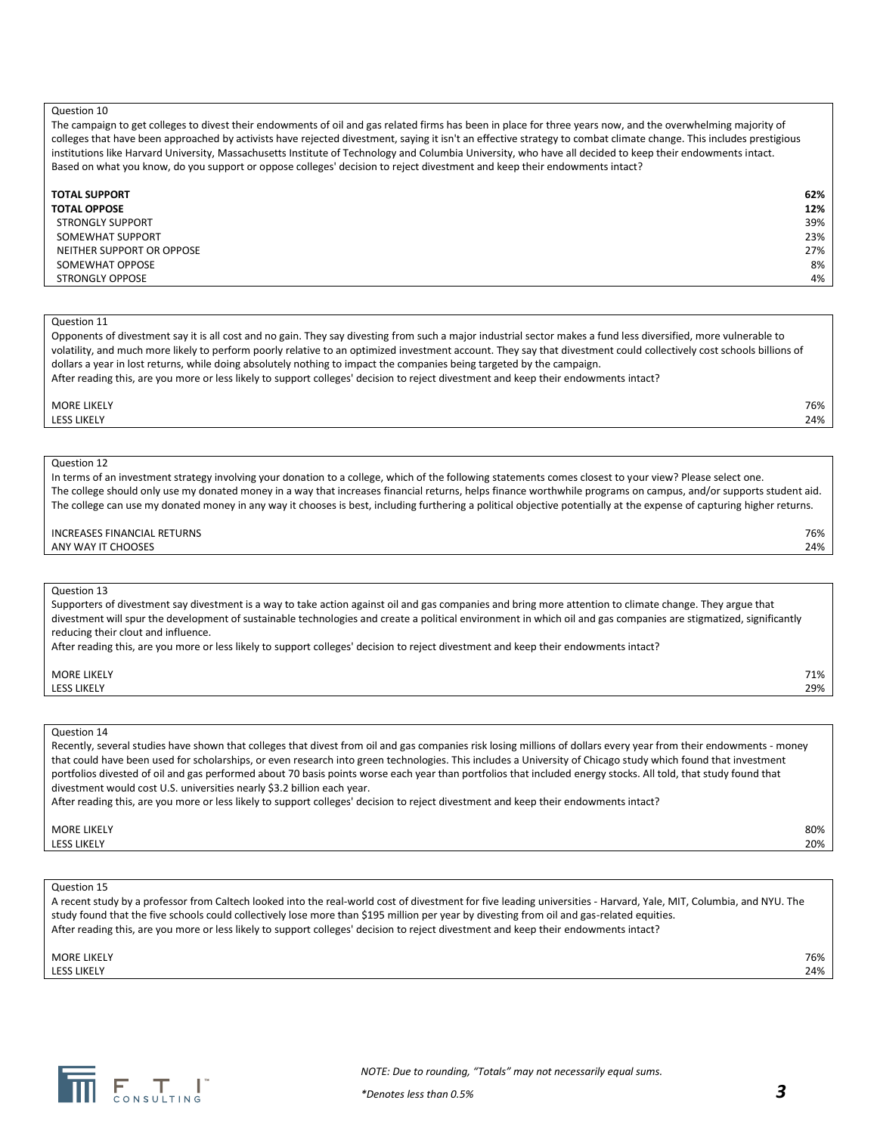The campaign to get colleges to divest their endowments of oil and gas related firms has been in place for three years now, and the overwhelming majority of colleges that have been approached by activists have rejected divestment, saying it isn't an effective strategy to combat climate change. This includes prestigious institutions like Harvard University, Massachusetts Institute of Technology and Columbia University, who have all decided to keep their endowments intact. Based on what you know, do you support or oppose colleges' decision to reject divestment and keep their endowments intact?

| <b>TOTAL SUPPORT</b>      | 62% |
|---------------------------|-----|
| <b>TOTAL OPPOSE</b>       | 12% |
| <b>STRONGLY SUPPORT</b>   | 39% |
| SOMEWHAT SUPPORT          | 23% |
| NEITHER SUPPORT OR OPPOSE | 27% |
| SOMEWHAT OPPOSE           | 8%  |
| <b>STRONGLY OPPOSE</b>    | 4%  |

#### Question 11

Opponents of divestment say it is all cost and no gain. They say divesting from such a major industrial sector makes a fund less diversified, more vulnerable to volatility, and much more likely to perform poorly relative to an optimized investment account. They say that divestment could collectively cost schools billions of dollars a year in lost returns, while doing absolutely nothing to impact the companies being targeted by the campaign. After reading this, are you more or less likely to support colleges' decision to reject divestment and keep their endowments intact?

MORE LIKELY 76% LESS LIKELY 24%

#### Question 12

In terms of an investment strategy involving your donation to a college, which of the following statements comes closest to your view? Please select one. The college should only use my donated money in a way that increases financial returns, helps finance worthwhile programs on campus, and/or supports student aid. The college can use my donated money in any way it chooses is best, including furthering a political objective potentially at the expense of capturing higher returns.

INCREASES FINANCIAL RETURNS 76% ANY WAY IT CHOOSES 24%

#### Question 13

Supporters of divestment say divestment is a way to take action against oil and gas companies and bring more attention to climate change. They argue that divestment will spur the development of sustainable technologies and create a political environment in which oil and gas companies are stigmatized, significantly reducing their clout and influence.

After reading this, are you more or less likely to support colleges' decision to reject divestment and keep their endowments intact?

| <b>MORE LIKELY</b> | 71% |
|--------------------|-----|
| <b>LESS LIKELY</b> | 29% |
|                    |     |

#### Question 14

Recently, several studies have shown that colleges that divest from oil and gas companies risk losing millions of dollars every year from their endowments - money that could have been used for scholarships, or even research into green technologies. This includes a University of Chicago study which found that investment portfolios divested of oil and gas performed about 70 basis points worse each year than portfolios that included energy stocks. All told, that study found that divestment would cost U.S. universities nearly \$3.2 billion each year. After reading this, are you more or less likely to support colleges' decision to reject divestment and keep their endowments intact?

MORE LIKELY 80% LESS LIKELY 20%

#### Question 15

A recent study by a professor from Caltech looked into the real-world cost of divestment for five leading universities - Harvard, Yale, MIT, Columbia, and NYU. The study found that the five schools could collectively lose more than \$195 million per year by divesting from oil and gas-related equities. After reading this, are you more or less likely to support colleges' decision to reject divestment and keep their endowments intact?

MORE LIKELY 76% LESS LIKELY 24%

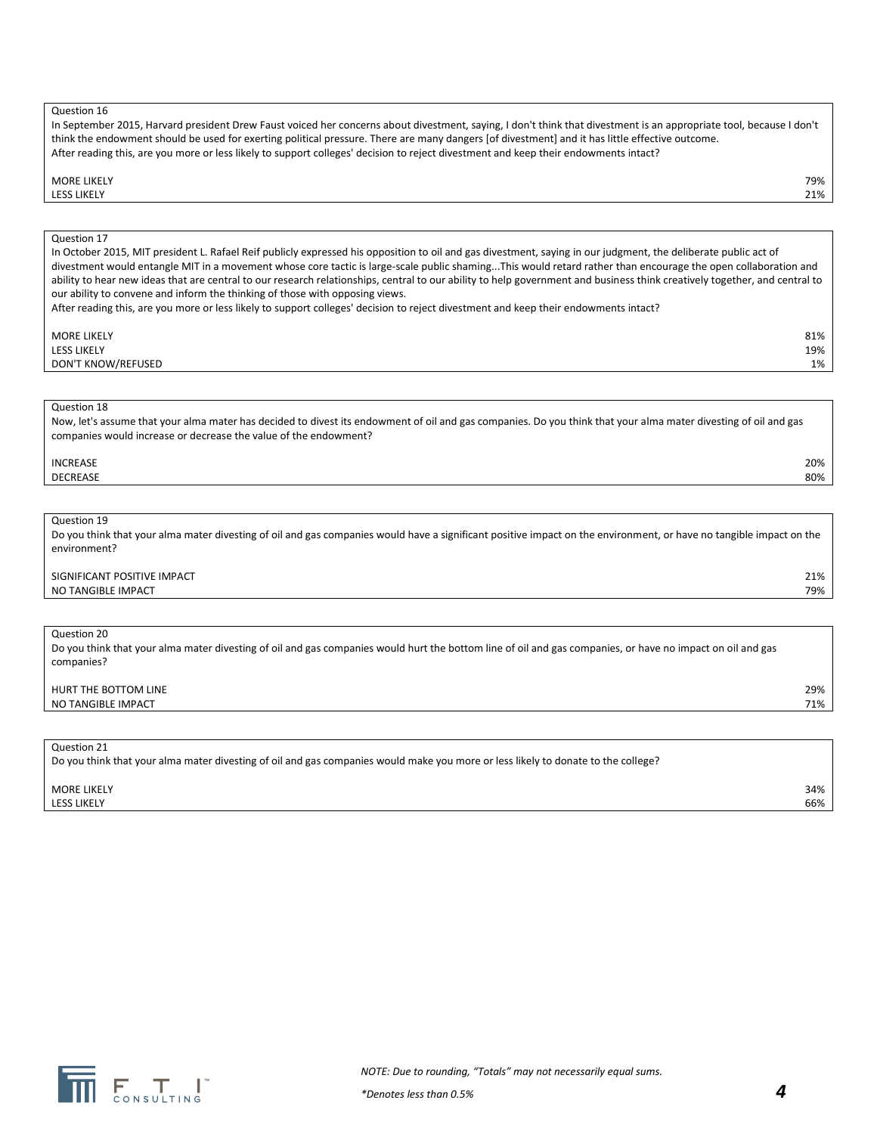| In September 2015, Harvard president Drew Faust voiced her concerns about divestment, saying, I don't think that divestment is an appropriate tool, because I don't |
|---------------------------------------------------------------------------------------------------------------------------------------------------------------------|
| think the endowment should be used for exerting political pressure. There are many dangers [of divestment] and it has little effective outcome.                     |
| After reading this, are you more or less likely to support colleges' decision to reject divestment and keep their endowments intact?                                |

#### MORE LIKELY 79%

#### LESS LIKELY 21%

#### Question 17

In October 2015, MIT president L. Rafael Reif publicly expressed his opposition to oil and gas divestment, saying in our judgment, the deliberate public act of divestment would entangle MIT in a movement whose core tactic is large-scale public shaming...This would retard rather than encourage the open collaboration and ability to hear new ideas that are central to our research relationships, central to our ability to help government and business think creatively together, and central to our ability to convene and inform the thinking of those with opposing views.

After reading this, are you more or less likely to support colleges' decision to reject divestment and keep their endowments intact?

#### MORE LIKELY 81% LESS LIKELY 19% DON'T KNOW/REFUSED 1%

#### Question 18

Now, let's assume that your alma mater has decided to divest its endowment of oil and gas companies. Do you think that your alma mater divesting of oil and gas companies would increase or decrease the value of the endowment?

#### INCREASE 20% DECREASE 80%

Question 19

Do you think that your alma mater divesting of oil and gas companies would have a significant positive impact on the environment, or have no tangible impact on the environment?

#### SIGNIFICANT POSITIVE IMPACT 21% NO TANGIBLE IMPACT 79%

#### Question 20

Do you think that your alma mater divesting of oil and gas companies would hurt the bottom line of oil and gas companies, or have no impact on oil and gas companies?

#### HURT THE BOTTOM LINE 29% NO TANGIBLE IMPACT 71%

Question 21

Do you think that your alma mater divesting of oil and gas companies would make you more or less likely to donate to the college?

MORE LIKELY 34% LESS LIKELY 66%

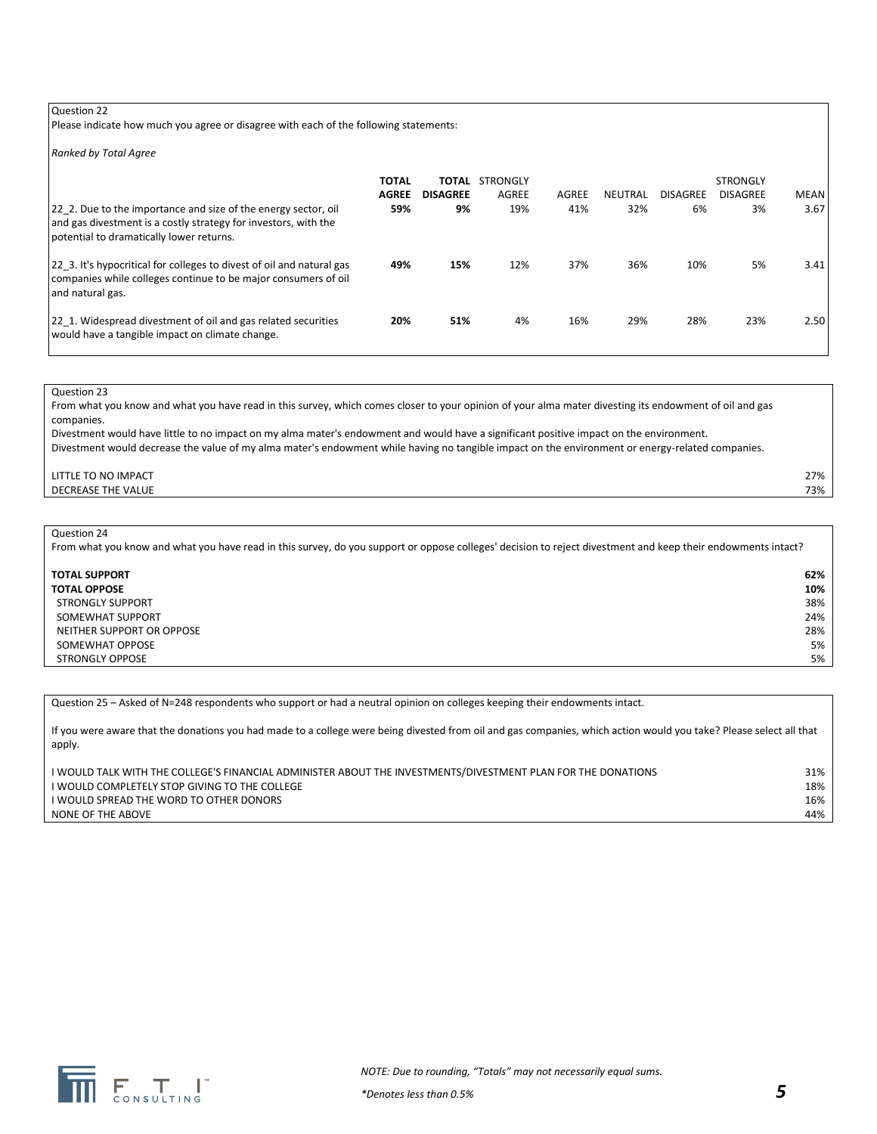Please indicate how much you agree or disagree with each of the following statements:

*Ranked by Total Agree*

| 22 2. Due to the importance and size of the energy sector, oil<br>and gas divestment is a costly strategy for investors, with the<br>potential to dramatically lower returns. | <b>TOTAL</b><br><b>AGREE</b><br>59% | ΤΟΤΑL<br><b>DISAGREE</b><br>9% | STRONGLY<br><b>AGREE</b><br>19% | AGREE<br>41% | NEUTRAL<br>32% | <b>DISAGREE</b><br>6% | <b>STRONGLY</b><br><b>DISAGREE</b><br>3% | <b>MEAN</b><br>3.67 |
|-------------------------------------------------------------------------------------------------------------------------------------------------------------------------------|-------------------------------------|--------------------------------|---------------------------------|--------------|----------------|-----------------------|------------------------------------------|---------------------|
| 22 3. It's hypocritical for colleges to divest of oil and natural gas<br>companies while colleges continue to be major consumers of oil<br>l and natural gas.                 | 49%                                 | 15%                            | 12%                             | 37%          | 36%            | 10%                   | 5%                                       | 3.41                |
| 22 1. Widespread divestment of oil and gas related securities<br>would have a tangible impact on climate change.                                                              | 20%                                 | 51%                            | 4%                              | 16%          | 29%            | 28%                   | 23%                                      | 2.50                |

#### Question 23

From what you know and what you have read in this survey, which comes closer to your opinion of your alma mater divesting its endowment of oil and gas companies.

Divestment would have little to no impact on my alma mater's endowment and would have a significant positive impact on the environment. Divestment would decrease the value of my alma mater's endowment while having no tangible impact on the environment or energy-related companies.

#### LITTLE TO NO IMPACT 27% **DECREASE THE VALUE** 73%

#### Question 24

From what you know and what you have read in this survey, do you support or oppose colleges' decision to reject divestment and keep their endowments intact?

| <b>TOTAL SUPPORT</b>      | 62% |
|---------------------------|-----|
| <b>TOTAL OPPOSE</b>       | 10% |
| <b>STRONGLY SUPPORT</b>   | 38% |
| SOMEWHAT SUPPORT          | 24% |
| NEITHER SUPPORT OR OPPOSE | 28% |
| SOMEWHAT OPPOSE           | 5%  |
| <b>STRONGLY OPPOSE</b>    | 5%  |

Question 25 – Asked of N=248 respondents who support or had a neutral opinion on colleges keeping their endowments intact.

If you were aware that the donations you had made to a college were being divested from oil and gas companies, which action would you take? Please select all that apply.

| I WOULD TALK WITH THE COLLEGE'S FINANCIAL ADMINISTER ABOUT THE INVESTMENTS/DIVESTMENT PLAN FOR THE DONATIONS | 31% |
|--------------------------------------------------------------------------------------------------------------|-----|
| I WOULD COMPLETELY STOP GIVING TO THE COLLEGE                                                                | 18% |
| I WOULD SPREAD THE WORD TO OTHER DONORS                                                                      | 16% |
| NONE OF THE ABOVE                                                                                            | 44% |

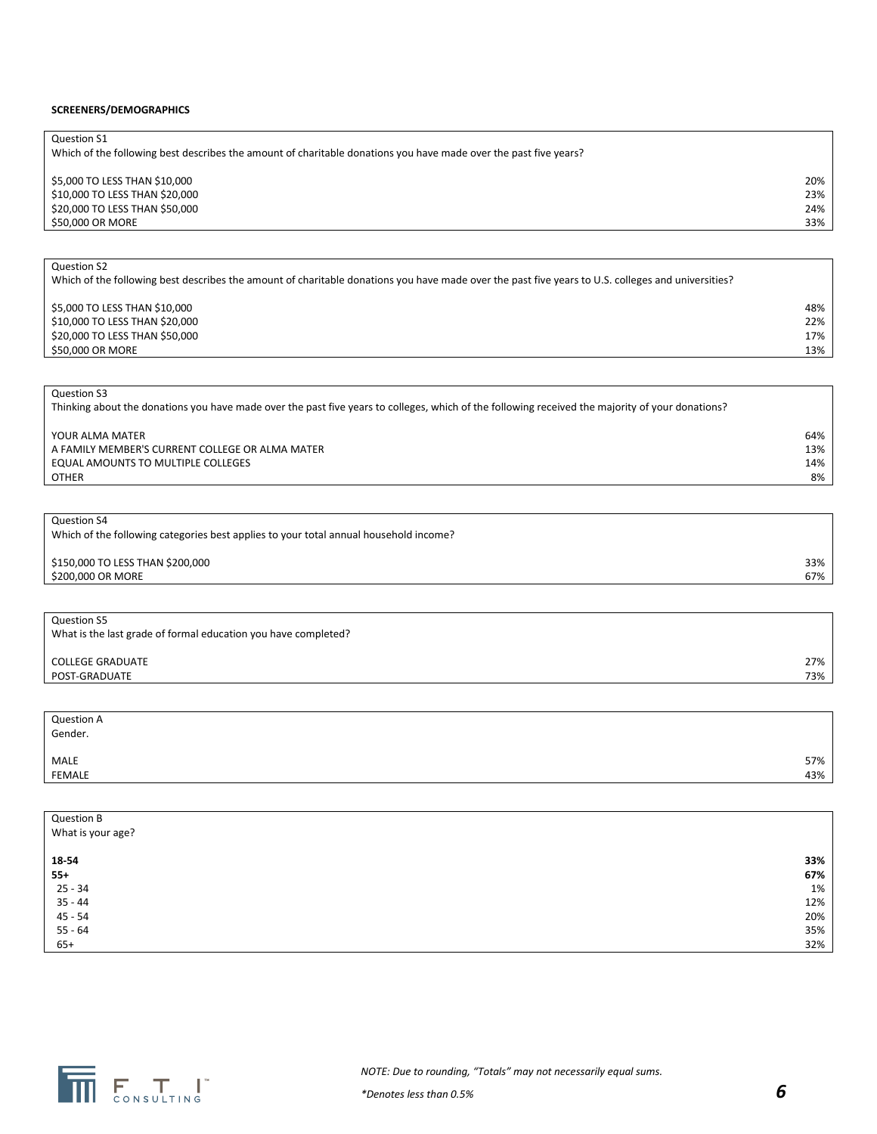#### **SCREENERS/DEMOGRAPHICS**

| Question S1                                                                                                      |     |
|------------------------------------------------------------------------------------------------------------------|-----|
| Which of the following best describes the amount of charitable donations you have made over the past five years? |     |
|                                                                                                                  |     |
| \$5,000 TO LESS THAN \$10,000                                                                                    | 20% |
| \$10,000 TO LESS THAN \$20,000                                                                                   | 23% |
| \$20,000 TO LESS THAN \$50,000                                                                                   | 24% |
| \$50,000 OR MORE                                                                                                 | 33% |

Which of the following best describes the amount of charitable donations you have made over the past five years to U.S. colleges and universities? \$5,000 TO LESS THAN \$10,000 48% and \$10,000 48% and \$1,000 for \$1,000 for \$1,000 TO LESS THAN \$10,000 for \$1,000 for \$1,000 for \$1,000 for \$1,000 for \$1,000 for \$1,000 for \$1,000 for \$1,000 for \$1,000 for \$1,000 for \$1,000 \$10,000 TO LESS THAN \$20,000

\$20,000 TO LESS THAN \$50,000 17% \$50,000 OR MORE 13%

Question S3

Question S2

Thinking about the donations you have made over the past five years to colleges, which of the following received the majority of your donations?

| YOUR ALMA MATER                                 | 64% |
|-------------------------------------------------|-----|
| A FAMILY MEMBER'S CURRENT COLLEGE OR ALMA MATER | 13% |
| EQUAL AMOUNTS TO MULTIPLE COLLEGES              | 14% |
| <b>OTHER</b>                                    | 8%  |

Question S4

| Which of the following categories best applies to your total annual household income? |  |
|---------------------------------------------------------------------------------------|--|
|                                                                                       |  |

\$150,000 TO LESS THAN \$200,000 33% \$200,000 OR MORE 67%

Question S5 What is the last grade of formal education you have completed?

COLLEGE GRADUATE 27% POST-GRADUATE 73%

| <b>Question A</b><br>Gender. |     |
|------------------------------|-----|
| MALE<br>FEMALE               | 57% |
|                              | 43% |

| Question B        |     |
|-------------------|-----|
| What is your age? |     |
|                   |     |
| 18-54             | 33% |
| $55+$             | 67% |
| $25 - 34$         | 1%  |
| $35 - 44$         | 12% |
| $45 - 54$         | 20% |
| $55 - 64$         | 35% |
| $65+$             | 32% |

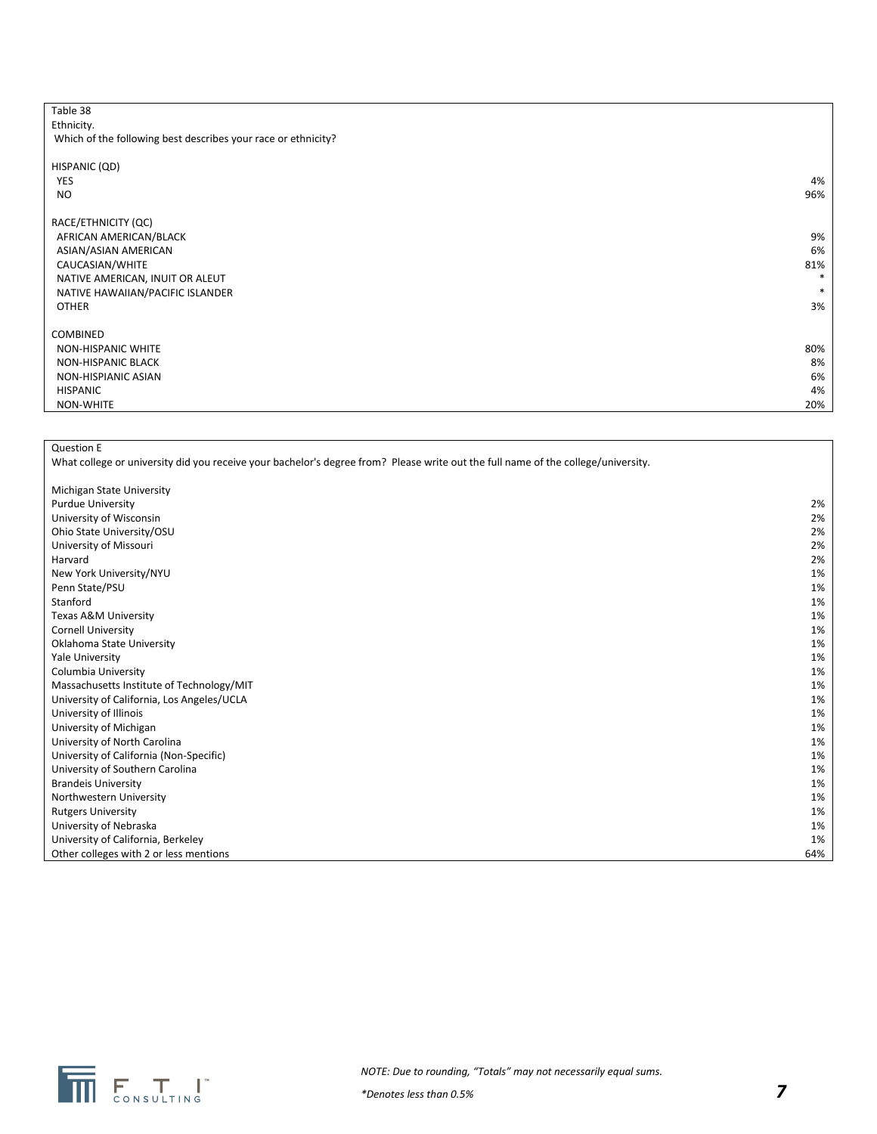| Table 38                                                      |        |
|---------------------------------------------------------------|--------|
| Ethnicity.                                                    |        |
| Which of the following best describes your race or ethnicity? |        |
|                                                               |        |
| HISPANIC (QD)                                                 |        |
| <b>YES</b>                                                    | 4%     |
| <b>NO</b>                                                     | 96%    |
|                                                               |        |
| RACE/ETHNICITY (QC)                                           |        |
| AFRICAN AMERICAN/BLACK                                        | 9%     |
| ASIAN/ASIAN AMERICAN                                          | 6%     |
| CAUCASIAN/WHITE                                               | 81%    |
| NATIVE AMERICAN, INUIT OR ALEUT                               | $\ast$ |
| NATIVE HAWAIIAN/PACIFIC ISLANDER                              | *      |
| <b>OTHER</b>                                                  | 3%     |
|                                                               |        |
| COMBINED                                                      |        |
| NON-HISPANIC WHITE                                            | 80%    |
| <b>NON-HISPANIC BLACK</b>                                     | 8%     |
| NON-HISPIANIC ASIAN                                           | 6%     |
| <b>HISPANIC</b>                                               | 4%     |
| NON-WHITE                                                     | 20%    |
|                                                               |        |

Question E

What college or university did you receive your bachelor's degree from? Please write out the full name of the college/university.

| Michigan State University                  |     |
|--------------------------------------------|-----|
| <b>Purdue University</b>                   | 2%  |
| University of Wisconsin                    | 2%  |
| Ohio State University/OSU                  | 2%  |
| University of Missouri                     | 2%  |
| Harvard                                    | 2%  |
| New York University/NYU                    | 1%  |
| Penn State/PSU                             | 1%  |
| Stanford                                   | 1%  |
| Texas A&M University                       | 1%  |
| <b>Cornell University</b>                  | 1%  |
| Oklahoma State University                  | 1%  |
| Yale University                            | 1%  |
| Columbia University                        | 1%  |
| Massachusetts Institute of Technology/MIT  | 1%  |
| University of California, Los Angeles/UCLA | 1%  |
| University of Illinois                     | 1%  |
| University of Michigan                     | 1%  |
| University of North Carolina               | 1%  |
| University of California (Non-Specific)    | 1%  |
| University of Southern Carolina            | 1%  |
| <b>Brandeis University</b>                 | 1%  |
| Northwestern University                    | 1%  |
| <b>Rutgers University</b>                  | 1%  |
| University of Nebraska                     | 1%  |
| University of California, Berkeley         | 1%  |
| Other colleges with 2 or less mentions     | 64% |

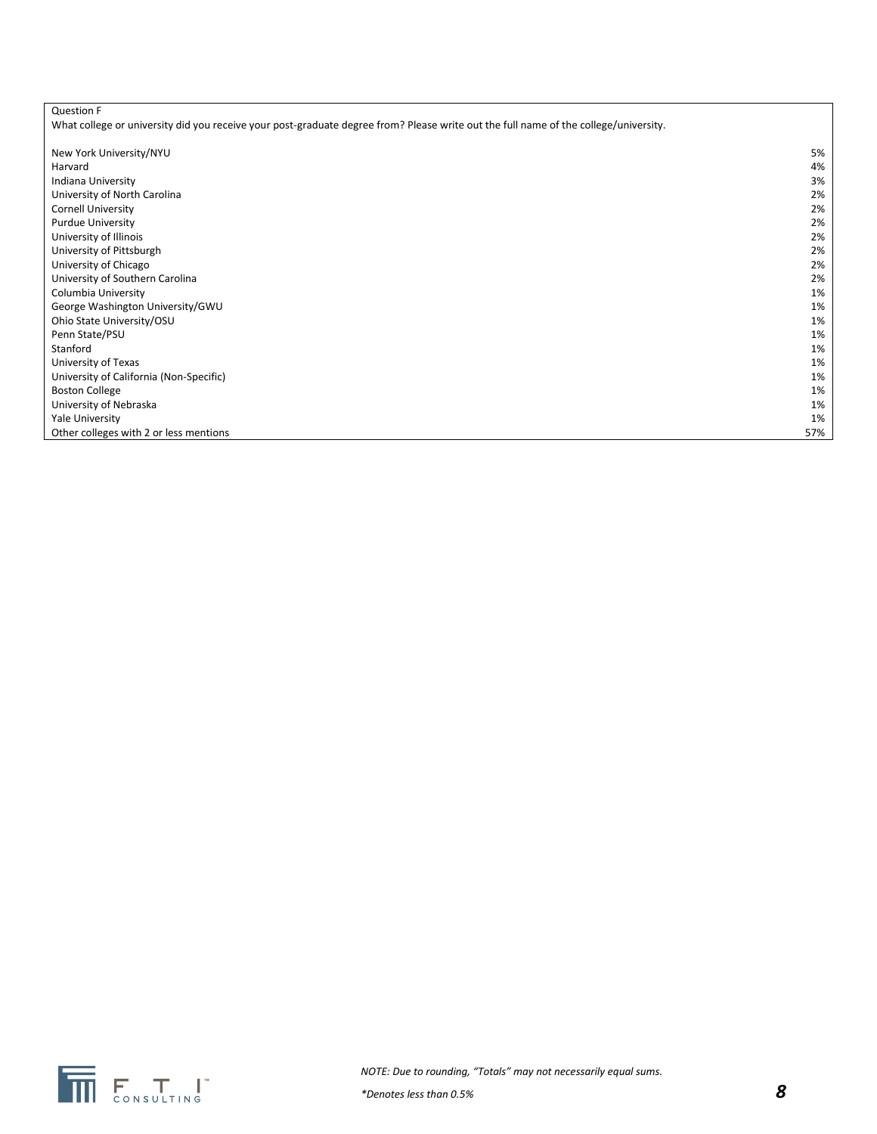| <b>Question F</b>                                                                                                                    |     |
|--------------------------------------------------------------------------------------------------------------------------------------|-----|
| What college or university did you receive your post-graduate degree from? Please write out the full name of the college/university. |     |
|                                                                                                                                      |     |
| New York University/NYU                                                                                                              | 5%  |
| Harvard                                                                                                                              | 4%  |
| Indiana University                                                                                                                   | 3%  |
| University of North Carolina                                                                                                         | 2%  |
| <b>Cornell University</b>                                                                                                            | 2%  |
| <b>Purdue University</b>                                                                                                             | 2%  |
| University of Illinois                                                                                                               | 2%  |
| University of Pittsburgh                                                                                                             | 2%  |
| University of Chicago                                                                                                                | 2%  |
| University of Southern Carolina                                                                                                      | 2%  |
| Columbia University                                                                                                                  | 1%  |
| George Washington University/GWU                                                                                                     | 1%  |
| Ohio State University/OSU                                                                                                            | 1%  |
| Penn State/PSU                                                                                                                       | 1%  |
| Stanford                                                                                                                             | 1%  |
| University of Texas                                                                                                                  | 1%  |
| University of California (Non-Specific)                                                                                              | 1%  |
| <b>Boston College</b>                                                                                                                | 1%  |
| University of Nebraska                                                                                                               | 1%  |
| Yale University                                                                                                                      | 1%  |
| Other colleges with 2 or less mentions                                                                                               | 57% |

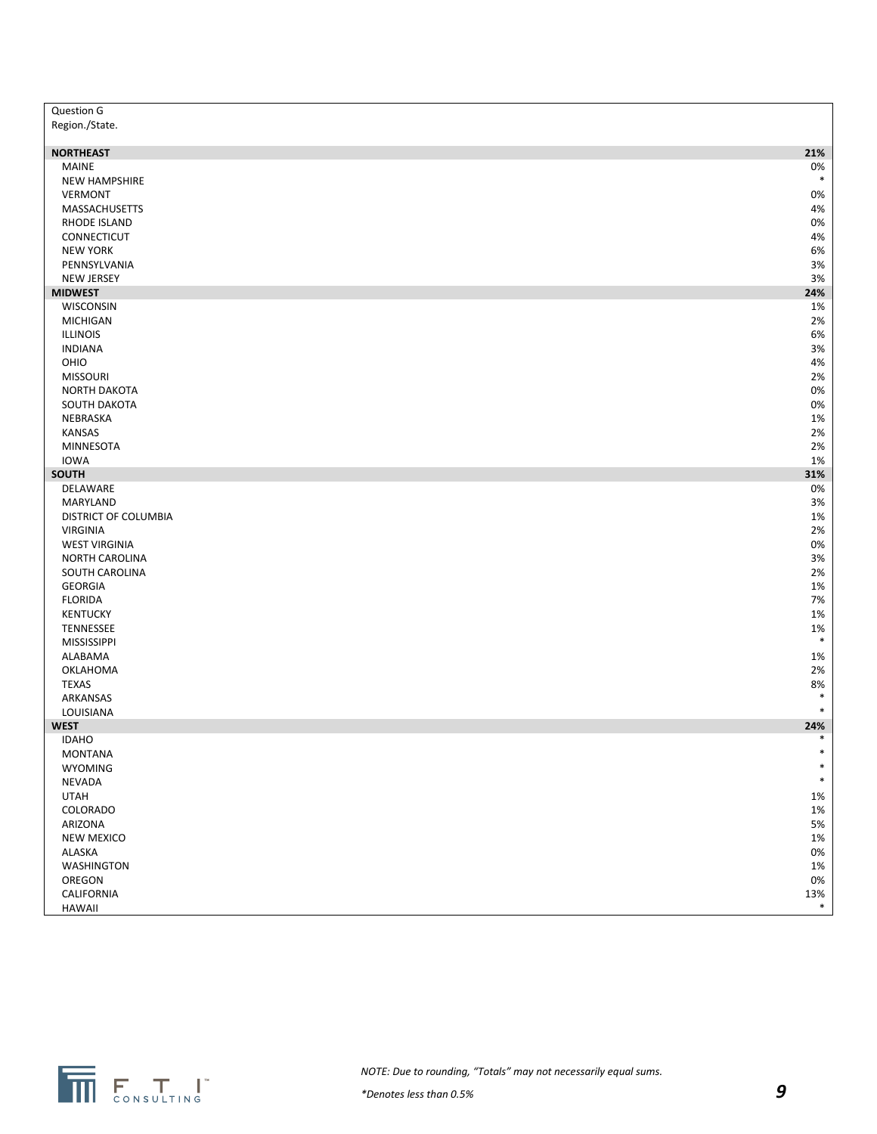| Region./State.<br><b>NORTHEAST</b><br>21%<br><b>MAINE</b><br>0%<br>$\ast$<br><b>NEW HAMPSHIRE</b><br><b>VERMONT</b><br>0%<br>4%<br>MASSACHUSETTS<br>0%<br>RHODE ISLAND<br>CONNECTICUT<br>4%<br>6%<br><b>NEW YORK</b><br>$3%$<br>PENNSYLVANIA<br>3%<br><b>NEW JERSEY</b><br><b>MIDWEST</b><br>24%<br>WISCONSIN<br>1%<br><b>MICHIGAN</b><br>2%<br>ILLINOIS<br>6%<br>$3%$<br><b>INDIANA</b><br>OHIO<br>4%<br><b>MISSOURI</b><br>2%<br>NORTH DAKOTA<br>0%<br>0%<br>SOUTH DAKOTA<br>NEBRASKA<br>1%<br><b>KANSAS</b><br>2%<br>2%<br><b>MINNESOTA</b><br><b>IOWA</b><br>1%<br>SOUTH<br>31%<br>0%<br>DELAWARE<br>MARYLAND<br>$3%$<br>1%<br>DISTRICT OF COLUMBIA<br>2%<br><b>VIRGINIA</b><br>0%<br><b>WEST VIRGINIA</b><br>3%<br>NORTH CAROLINA<br>2%<br>SOUTH CAROLINA<br><b>GEORGIA</b><br>1%<br>7%<br><b>FLORIDA</b><br>KENTUCKY<br>1%<br>$1\%$<br>TENNESSEE<br>$\ast$<br>MISSISSIPPI<br>ALABAMA<br>1%<br>2%<br>OKLAHOMA<br>8%<br><b>TEXAS</b><br>$\ast$<br>ARKANSAS<br>$\ast$<br>LOUISIANA<br><b>WEST</b><br>24%<br>$\ast$<br><b>IDAHO</b><br><b>MONTANA</b><br>WYOMING<br>$\ast$<br>NEVADA<br>$\ast$<br><b>UTAH</b><br>1%<br>COLORADO<br>$1\%$<br>ARIZONA<br>5%<br><b>NEW MEXICO</b><br>$1\%$<br>ALASKA<br>0%<br><b>WASHINGTON</b><br>$1\%$<br>OREGON<br>0%<br>CALIFORNIA<br>13%<br>$\ast$<br>HAWAII | Question G |  |
|--------------------------------------------------------------------------------------------------------------------------------------------------------------------------------------------------------------------------------------------------------------------------------------------------------------------------------------------------------------------------------------------------------------------------------------------------------------------------------------------------------------------------------------------------------------------------------------------------------------------------------------------------------------------------------------------------------------------------------------------------------------------------------------------------------------------------------------------------------------------------------------------------------------------------------------------------------------------------------------------------------------------------------------------------------------------------------------------------------------------------------------------------------------------------------------------------------------------------------------------------------------------------------------------------|------------|--|
|                                                                                                                                                                                                                                                                                                                                                                                                                                                                                                                                                                                                                                                                                                                                                                                                                                                                                                                                                                                                                                                                                                                                                                                                                                                                                                  |            |  |
|                                                                                                                                                                                                                                                                                                                                                                                                                                                                                                                                                                                                                                                                                                                                                                                                                                                                                                                                                                                                                                                                                                                                                                                                                                                                                                  |            |  |
|                                                                                                                                                                                                                                                                                                                                                                                                                                                                                                                                                                                                                                                                                                                                                                                                                                                                                                                                                                                                                                                                                                                                                                                                                                                                                                  |            |  |
|                                                                                                                                                                                                                                                                                                                                                                                                                                                                                                                                                                                                                                                                                                                                                                                                                                                                                                                                                                                                                                                                                                                                                                                                                                                                                                  |            |  |
|                                                                                                                                                                                                                                                                                                                                                                                                                                                                                                                                                                                                                                                                                                                                                                                                                                                                                                                                                                                                                                                                                                                                                                                                                                                                                                  |            |  |
|                                                                                                                                                                                                                                                                                                                                                                                                                                                                                                                                                                                                                                                                                                                                                                                                                                                                                                                                                                                                                                                                                                                                                                                                                                                                                                  |            |  |
|                                                                                                                                                                                                                                                                                                                                                                                                                                                                                                                                                                                                                                                                                                                                                                                                                                                                                                                                                                                                                                                                                                                                                                                                                                                                                                  |            |  |
|                                                                                                                                                                                                                                                                                                                                                                                                                                                                                                                                                                                                                                                                                                                                                                                                                                                                                                                                                                                                                                                                                                                                                                                                                                                                                                  |            |  |
|                                                                                                                                                                                                                                                                                                                                                                                                                                                                                                                                                                                                                                                                                                                                                                                                                                                                                                                                                                                                                                                                                                                                                                                                                                                                                                  |            |  |
|                                                                                                                                                                                                                                                                                                                                                                                                                                                                                                                                                                                                                                                                                                                                                                                                                                                                                                                                                                                                                                                                                                                                                                                                                                                                                                  |            |  |
|                                                                                                                                                                                                                                                                                                                                                                                                                                                                                                                                                                                                                                                                                                                                                                                                                                                                                                                                                                                                                                                                                                                                                                                                                                                                                                  |            |  |
|                                                                                                                                                                                                                                                                                                                                                                                                                                                                                                                                                                                                                                                                                                                                                                                                                                                                                                                                                                                                                                                                                                                                                                                                                                                                                                  |            |  |
|                                                                                                                                                                                                                                                                                                                                                                                                                                                                                                                                                                                                                                                                                                                                                                                                                                                                                                                                                                                                                                                                                                                                                                                                                                                                                                  |            |  |
|                                                                                                                                                                                                                                                                                                                                                                                                                                                                                                                                                                                                                                                                                                                                                                                                                                                                                                                                                                                                                                                                                                                                                                                                                                                                                                  |            |  |
|                                                                                                                                                                                                                                                                                                                                                                                                                                                                                                                                                                                                                                                                                                                                                                                                                                                                                                                                                                                                                                                                                                                                                                                                                                                                                                  |            |  |
|                                                                                                                                                                                                                                                                                                                                                                                                                                                                                                                                                                                                                                                                                                                                                                                                                                                                                                                                                                                                                                                                                                                                                                                                                                                                                                  |            |  |
|                                                                                                                                                                                                                                                                                                                                                                                                                                                                                                                                                                                                                                                                                                                                                                                                                                                                                                                                                                                                                                                                                                                                                                                                                                                                                                  |            |  |
|                                                                                                                                                                                                                                                                                                                                                                                                                                                                                                                                                                                                                                                                                                                                                                                                                                                                                                                                                                                                                                                                                                                                                                                                                                                                                                  |            |  |
|                                                                                                                                                                                                                                                                                                                                                                                                                                                                                                                                                                                                                                                                                                                                                                                                                                                                                                                                                                                                                                                                                                                                                                                                                                                                                                  |            |  |
|                                                                                                                                                                                                                                                                                                                                                                                                                                                                                                                                                                                                                                                                                                                                                                                                                                                                                                                                                                                                                                                                                                                                                                                                                                                                                                  |            |  |
|                                                                                                                                                                                                                                                                                                                                                                                                                                                                                                                                                                                                                                                                                                                                                                                                                                                                                                                                                                                                                                                                                                                                                                                                                                                                                                  |            |  |
|                                                                                                                                                                                                                                                                                                                                                                                                                                                                                                                                                                                                                                                                                                                                                                                                                                                                                                                                                                                                                                                                                                                                                                                                                                                                                                  |            |  |
|                                                                                                                                                                                                                                                                                                                                                                                                                                                                                                                                                                                                                                                                                                                                                                                                                                                                                                                                                                                                                                                                                                                                                                                                                                                                                                  |            |  |
|                                                                                                                                                                                                                                                                                                                                                                                                                                                                                                                                                                                                                                                                                                                                                                                                                                                                                                                                                                                                                                                                                                                                                                                                                                                                                                  |            |  |
|                                                                                                                                                                                                                                                                                                                                                                                                                                                                                                                                                                                                                                                                                                                                                                                                                                                                                                                                                                                                                                                                                                                                                                                                                                                                                                  |            |  |
|                                                                                                                                                                                                                                                                                                                                                                                                                                                                                                                                                                                                                                                                                                                                                                                                                                                                                                                                                                                                                                                                                                                                                                                                                                                                                                  |            |  |
|                                                                                                                                                                                                                                                                                                                                                                                                                                                                                                                                                                                                                                                                                                                                                                                                                                                                                                                                                                                                                                                                                                                                                                                                                                                                                                  |            |  |
|                                                                                                                                                                                                                                                                                                                                                                                                                                                                                                                                                                                                                                                                                                                                                                                                                                                                                                                                                                                                                                                                                                                                                                                                                                                                                                  |            |  |
|                                                                                                                                                                                                                                                                                                                                                                                                                                                                                                                                                                                                                                                                                                                                                                                                                                                                                                                                                                                                                                                                                                                                                                                                                                                                                                  |            |  |
|                                                                                                                                                                                                                                                                                                                                                                                                                                                                                                                                                                                                                                                                                                                                                                                                                                                                                                                                                                                                                                                                                                                                                                                                                                                                                                  |            |  |
|                                                                                                                                                                                                                                                                                                                                                                                                                                                                                                                                                                                                                                                                                                                                                                                                                                                                                                                                                                                                                                                                                                                                                                                                                                                                                                  |            |  |
|                                                                                                                                                                                                                                                                                                                                                                                                                                                                                                                                                                                                                                                                                                                                                                                                                                                                                                                                                                                                                                                                                                                                                                                                                                                                                                  |            |  |
|                                                                                                                                                                                                                                                                                                                                                                                                                                                                                                                                                                                                                                                                                                                                                                                                                                                                                                                                                                                                                                                                                                                                                                                                                                                                                                  |            |  |
|                                                                                                                                                                                                                                                                                                                                                                                                                                                                                                                                                                                                                                                                                                                                                                                                                                                                                                                                                                                                                                                                                                                                                                                                                                                                                                  |            |  |
|                                                                                                                                                                                                                                                                                                                                                                                                                                                                                                                                                                                                                                                                                                                                                                                                                                                                                                                                                                                                                                                                                                                                                                                                                                                                                                  |            |  |
|                                                                                                                                                                                                                                                                                                                                                                                                                                                                                                                                                                                                                                                                                                                                                                                                                                                                                                                                                                                                                                                                                                                                                                                                                                                                                                  |            |  |
|                                                                                                                                                                                                                                                                                                                                                                                                                                                                                                                                                                                                                                                                                                                                                                                                                                                                                                                                                                                                                                                                                                                                                                                                                                                                                                  |            |  |
|                                                                                                                                                                                                                                                                                                                                                                                                                                                                                                                                                                                                                                                                                                                                                                                                                                                                                                                                                                                                                                                                                                                                                                                                                                                                                                  |            |  |
|                                                                                                                                                                                                                                                                                                                                                                                                                                                                                                                                                                                                                                                                                                                                                                                                                                                                                                                                                                                                                                                                                                                                                                                                                                                                                                  |            |  |
|                                                                                                                                                                                                                                                                                                                                                                                                                                                                                                                                                                                                                                                                                                                                                                                                                                                                                                                                                                                                                                                                                                                                                                                                                                                                                                  |            |  |
|                                                                                                                                                                                                                                                                                                                                                                                                                                                                                                                                                                                                                                                                                                                                                                                                                                                                                                                                                                                                                                                                                                                                                                                                                                                                                                  |            |  |
|                                                                                                                                                                                                                                                                                                                                                                                                                                                                                                                                                                                                                                                                                                                                                                                                                                                                                                                                                                                                                                                                                                                                                                                                                                                                                                  |            |  |
|                                                                                                                                                                                                                                                                                                                                                                                                                                                                                                                                                                                                                                                                                                                                                                                                                                                                                                                                                                                                                                                                                                                                                                                                                                                                                                  |            |  |
|                                                                                                                                                                                                                                                                                                                                                                                                                                                                                                                                                                                                                                                                                                                                                                                                                                                                                                                                                                                                                                                                                                                                                                                                                                                                                                  |            |  |
|                                                                                                                                                                                                                                                                                                                                                                                                                                                                                                                                                                                                                                                                                                                                                                                                                                                                                                                                                                                                                                                                                                                                                                                                                                                                                                  |            |  |
|                                                                                                                                                                                                                                                                                                                                                                                                                                                                                                                                                                                                                                                                                                                                                                                                                                                                                                                                                                                                                                                                                                                                                                                                                                                                                                  |            |  |
|                                                                                                                                                                                                                                                                                                                                                                                                                                                                                                                                                                                                                                                                                                                                                                                                                                                                                                                                                                                                                                                                                                                                                                                                                                                                                                  |            |  |
|                                                                                                                                                                                                                                                                                                                                                                                                                                                                                                                                                                                                                                                                                                                                                                                                                                                                                                                                                                                                                                                                                                                                                                                                                                                                                                  |            |  |
|                                                                                                                                                                                                                                                                                                                                                                                                                                                                                                                                                                                                                                                                                                                                                                                                                                                                                                                                                                                                                                                                                                                                                                                                                                                                                                  |            |  |
|                                                                                                                                                                                                                                                                                                                                                                                                                                                                                                                                                                                                                                                                                                                                                                                                                                                                                                                                                                                                                                                                                                                                                                                                                                                                                                  |            |  |
|                                                                                                                                                                                                                                                                                                                                                                                                                                                                                                                                                                                                                                                                                                                                                                                                                                                                                                                                                                                                                                                                                                                                                                                                                                                                                                  |            |  |
|                                                                                                                                                                                                                                                                                                                                                                                                                                                                                                                                                                                                                                                                                                                                                                                                                                                                                                                                                                                                                                                                                                                                                                                                                                                                                                  |            |  |
|                                                                                                                                                                                                                                                                                                                                                                                                                                                                                                                                                                                                                                                                                                                                                                                                                                                                                                                                                                                                                                                                                                                                                                                                                                                                                                  |            |  |
|                                                                                                                                                                                                                                                                                                                                                                                                                                                                                                                                                                                                                                                                                                                                                                                                                                                                                                                                                                                                                                                                                                                                                                                                                                                                                                  |            |  |
|                                                                                                                                                                                                                                                                                                                                                                                                                                                                                                                                                                                                                                                                                                                                                                                                                                                                                                                                                                                                                                                                                                                                                                                                                                                                                                  |            |  |
|                                                                                                                                                                                                                                                                                                                                                                                                                                                                                                                                                                                                                                                                                                                                                                                                                                                                                                                                                                                                                                                                                                                                                                                                                                                                                                  |            |  |
|                                                                                                                                                                                                                                                                                                                                                                                                                                                                                                                                                                                                                                                                                                                                                                                                                                                                                                                                                                                                                                                                                                                                                                                                                                                                                                  |            |  |
|                                                                                                                                                                                                                                                                                                                                                                                                                                                                                                                                                                                                                                                                                                                                                                                                                                                                                                                                                                                                                                                                                                                                                                                                                                                                                                  |            |  |
|                                                                                                                                                                                                                                                                                                                                                                                                                                                                                                                                                                                                                                                                                                                                                                                                                                                                                                                                                                                                                                                                                                                                                                                                                                                                                                  |            |  |
|                                                                                                                                                                                                                                                                                                                                                                                                                                                                                                                                                                                                                                                                                                                                                                                                                                                                                                                                                                                                                                                                                                                                                                                                                                                                                                  |            |  |